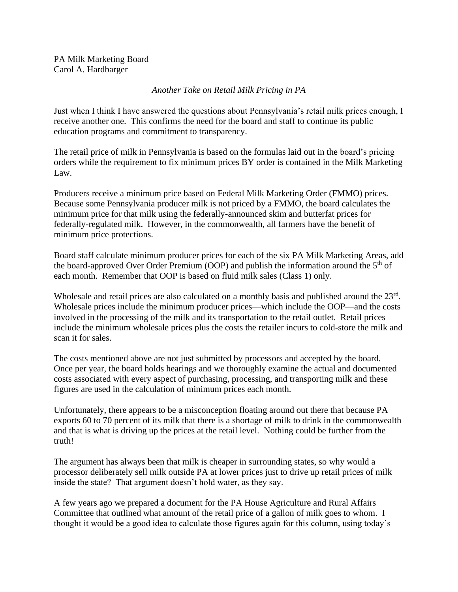PA Milk Marketing Board Carol A. Hardbarger

## *Another Take on Retail Milk Pricing in PA*

Just when I think I have answered the questions about Pennsylvania's retail milk prices enough, I receive another one. This confirms the need for the board and staff to continue its public education programs and commitment to transparency.

The retail price of milk in Pennsylvania is based on the formulas laid out in the board's pricing orders while the requirement to fix minimum prices BY order is contained in the Milk Marketing Law.

Producers receive a minimum price based on Federal Milk Marketing Order (FMMO) prices. Because some Pennsylvania producer milk is not priced by a FMMO, the board calculates the minimum price for that milk using the federally-announced skim and butterfat prices for federally-regulated milk. However, in the commonwealth, all farmers have the benefit of minimum price protections.

Board staff calculate minimum producer prices for each of the six PA Milk Marketing Areas, add the board-approved Over Order Premium (OOP) and publish the information around the  $5<sup>th</sup>$  of each month. Remember that OOP is based on fluid milk sales (Class 1) only.

Wholesale and retail prices are also calculated on a monthly basis and published around the 23<sup>rd</sup>. Wholesale prices include the minimum producer prices—which include the OOP—and the costs involved in the processing of the milk and its transportation to the retail outlet. Retail prices include the minimum wholesale prices plus the costs the retailer incurs to cold-store the milk and scan it for sales.

The costs mentioned above are not just submitted by processors and accepted by the board. Once per year, the board holds hearings and we thoroughly examine the actual and documented costs associated with every aspect of purchasing, processing, and transporting milk and these figures are used in the calculation of minimum prices each month.

Unfortunately, there appears to be a misconception floating around out there that because PA exports 60 to 70 percent of its milk that there is a shortage of milk to drink in the commonwealth and that is what is driving up the prices at the retail level. Nothing could be further from the truth!

The argument has always been that milk is cheaper in surrounding states, so why would a processor deliberately sell milk outside PA at lower prices just to drive up retail prices of milk inside the state? That argument doesn't hold water, as they say.

A few years ago we prepared a document for the PA House Agriculture and Rural Affairs Committee that outlined what amount of the retail price of a gallon of milk goes to whom. I thought it would be a good idea to calculate those figures again for this column, using today's